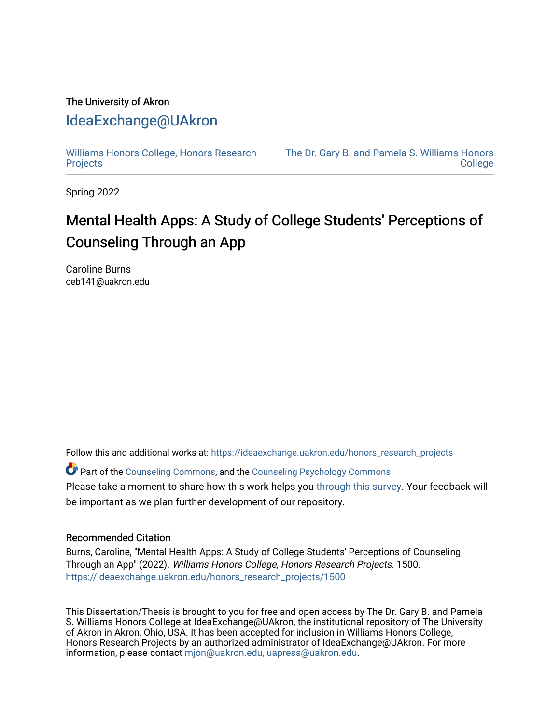# The University of Akron [IdeaExchange@UAkron](https://ideaexchange.uakron.edu/)

[Williams Honors College, Honors Research](https://ideaexchange.uakron.edu/honors_research_projects)  **[Projects](https://ideaexchange.uakron.edu/honors_research_projects)** 

[The Dr. Gary B. and Pamela S. Williams Honors](https://ideaexchange.uakron.edu/honorscollege_ideas)  **College** 

Spring 2022

# Mental Health Apps: A Study of College Students' Perceptions of Counseling Through an App

Caroline Burns ceb141@uakron.edu

Follow this and additional works at: [https://ideaexchange.uakron.edu/honors\\_research\\_projects](https://ideaexchange.uakron.edu/honors_research_projects?utm_source=ideaexchange.uakron.edu%2Fhonors_research_projects%2F1500&utm_medium=PDF&utm_campaign=PDFCoverPages) 

Part of the [Counseling Commons,](http://network.bepress.com/hgg/discipline/1268?utm_source=ideaexchange.uakron.edu%2Fhonors_research_projects%2F1500&utm_medium=PDF&utm_campaign=PDFCoverPages) and the [Counseling Psychology Commons](http://network.bepress.com/hgg/discipline/1044?utm_source=ideaexchange.uakron.edu%2Fhonors_research_projects%2F1500&utm_medium=PDF&utm_campaign=PDFCoverPages) Please take a moment to share how this work helps you [through this survey](http://survey.az1.qualtrics.com/SE/?SID=SV_eEVH54oiCbOw05f&URL=https://ideaexchange.uakron.edu/honors_research_projects/1500). Your feedback will be important as we plan further development of our repository.

#### Recommended Citation

Burns, Caroline, "Mental Health Apps: A Study of College Students' Perceptions of Counseling Through an App" (2022). Williams Honors College, Honors Research Projects. 1500. [https://ideaexchange.uakron.edu/honors\\_research\\_projects/1500](https://ideaexchange.uakron.edu/honors_research_projects/1500?utm_source=ideaexchange.uakron.edu%2Fhonors_research_projects%2F1500&utm_medium=PDF&utm_campaign=PDFCoverPages) 

This Dissertation/Thesis is brought to you for free and open access by The Dr. Gary B. and Pamela S. Williams Honors College at IdeaExchange@UAkron, the institutional repository of The University of Akron in Akron, Ohio, USA. It has been accepted for inclusion in Williams Honors College, Honors Research Projects by an authorized administrator of IdeaExchange@UAkron. For more information, please contact [mjon@uakron.edu, uapress@uakron.edu.](mailto:mjon@uakron.edu,%20uapress@uakron.edu)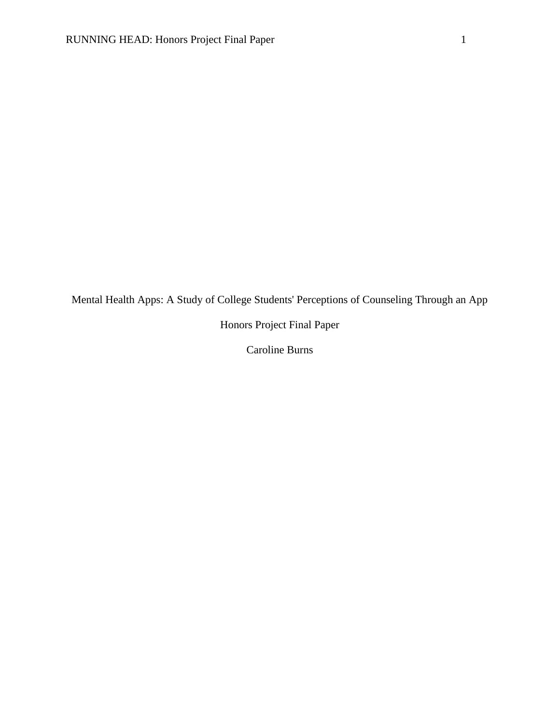Mental Health Apps: A Study of College Students' Perceptions of Counseling Through an App

Honors Project Final Paper

Caroline Burns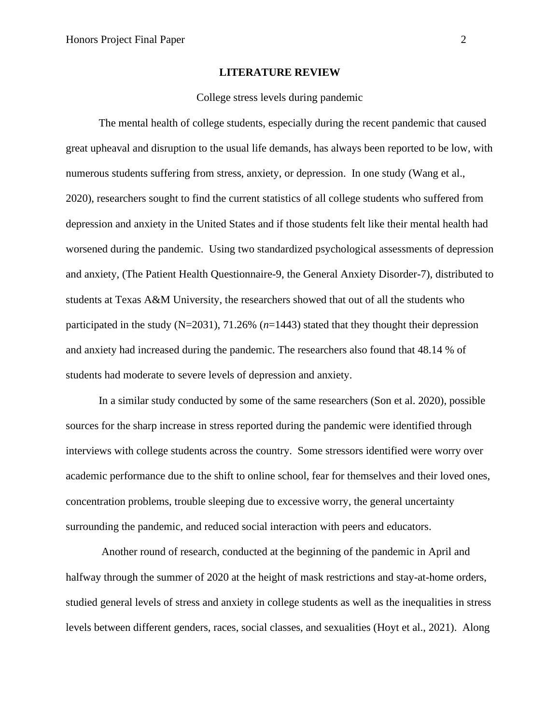#### **LITERATURE REVIEW**

#### College stress levels during pandemic

The mental health of college students, especially during the recent pandemic that caused great upheaval and disruption to the usual life demands, has always been reported to be low, with numerous students suffering from stress, anxiety, or depression. In one study (Wang et al., 2020), researchers sought to find the current statistics of all college students who suffered from depression and anxiety in the United States and if those students felt like their mental health had worsened during the pandemic. Using two standardized psychological assessments of depression and anxiety, (The Patient Health Questionnaire-9, the General Anxiety Disorder-7), distributed to students at Texas A&M University, the researchers showed that out of all the students who participated in the study (N=2031), 71.26% (*n*=1443) stated that they thought their depression and anxiety had increased during the pandemic. The researchers also found that 48.14 % of students had moderate to severe levels of depression and anxiety.

In a similar study conducted by some of the same researchers (Son et al. 2020), possible sources for the sharp increase in stress reported during the pandemic were identified through interviews with college students across the country. Some stressors identified were worry over academic performance due to the shift to online school, fear for themselves and their loved ones, concentration problems, trouble sleeping due to excessive worry, the general uncertainty surrounding the pandemic, and reduced social interaction with peers and educators.

Another round of research, conducted at the beginning of the pandemic in April and halfway through the summer of 2020 at the height of mask restrictions and stay-at-home orders, studied general levels of stress and anxiety in college students as well as the inequalities in stress levels between different genders, races, social classes, and sexualities (Hoyt et al., 2021). Along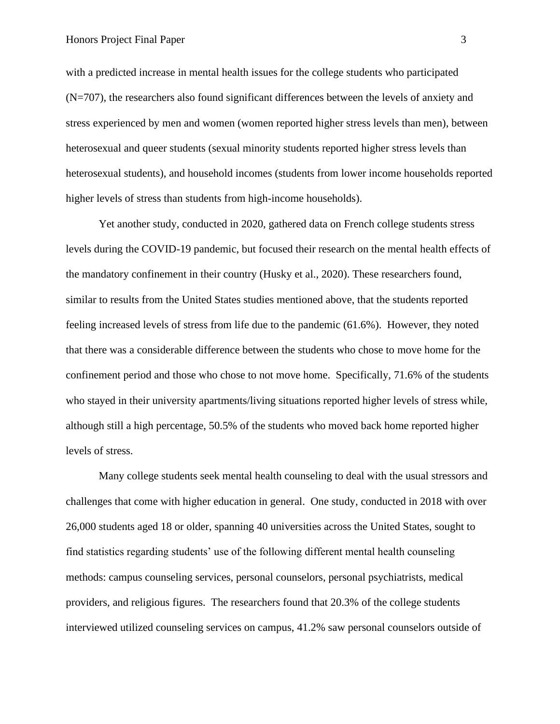with a predicted increase in mental health issues for the college students who participated (N=707), the researchers also found significant differences between the levels of anxiety and stress experienced by men and women (women reported higher stress levels than men), between heterosexual and queer students (sexual minority students reported higher stress levels than heterosexual students), and household incomes (students from lower income households reported higher levels of stress than students from high-income households).

Yet another study, conducted in 2020, gathered data on French college students stress levels during the COVID-19 pandemic, but focused their research on the mental health effects of the mandatory confinement in their country (Husky et al., 2020). These researchers found, similar to results from the United States studies mentioned above, that the students reported feeling increased levels of stress from life due to the pandemic (61.6%). However, they noted that there was a considerable difference between the students who chose to move home for the confinement period and those who chose to not move home. Specifically, 71.6% of the students who stayed in their university apartments/living situations reported higher levels of stress while, although still a high percentage, 50.5% of the students who moved back home reported higher levels of stress.

Many college students seek mental health counseling to deal with the usual stressors and challenges that come with higher education in general. One study, conducted in 2018 with over 26,000 students aged 18 or older, spanning 40 universities across the United States, sought to find statistics regarding students' use of the following different mental health counseling methods: campus counseling services, personal counselors, personal psychiatrists, medical providers, and religious figures. The researchers found that 20.3% of the college students interviewed utilized counseling services on campus, 41.2% saw personal counselors outside of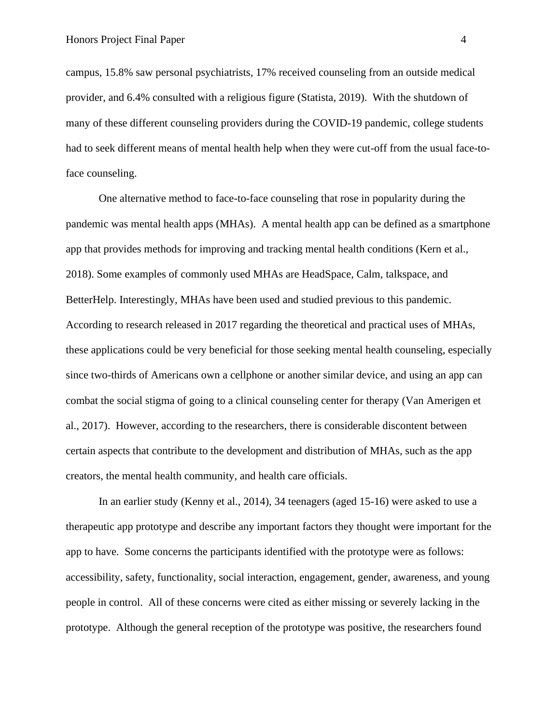campus, 15.8% saw personal psychiatrists, 17% received counseling from an outside medical provider, and 6.4% consulted with a religious figure (Statista, 2019). With the shutdown of many of these different counseling providers during the COVID-19 pandemic, college students had to seek different means of mental health help when they were cut-off from the usual face-toface counseling.

One alternative method to face-to-face counseling that rose in popularity during the pandemic was mental health apps (MHAs). A mental health app can be defined as a smartphone app that provides methods for improving and tracking mental health conditions (Kern et al., 2018). Some examples of commonly used MHAs are HeadSpace, Calm, talkspace, and BetterHelp. Interestingly, MHAs have been used and studied previous to this pandemic. According to research released in 2017 regarding the theoretical and practical uses of MHAs, these applications could be very beneficial for those seeking mental health counseling, especially since two-thirds of Americans own a cellphone or another similar device, and using an app can combat the social stigma of going to a clinical counseling center for therapy (Van Amerigen et al., 2017). However, according to the researchers, there is considerable discontent between certain aspects that contribute to the development and distribution of MHAs, such as the app creators, the mental health community, and health care officials.

In an earlier study (Kenny et al., 2014), 34 teenagers (aged 15-16) were asked to use a therapeutic app prototype and describe any important factors they thought were important for the app to have. Some concerns the participants identified with the prototype were as follows: accessibility, safety, functionality, social interaction, engagement, gender, awareness, and young people in control. All of these concerns were cited as either missing or severely lacking in the prototype. Although the general reception of the prototype was positive, the researchers found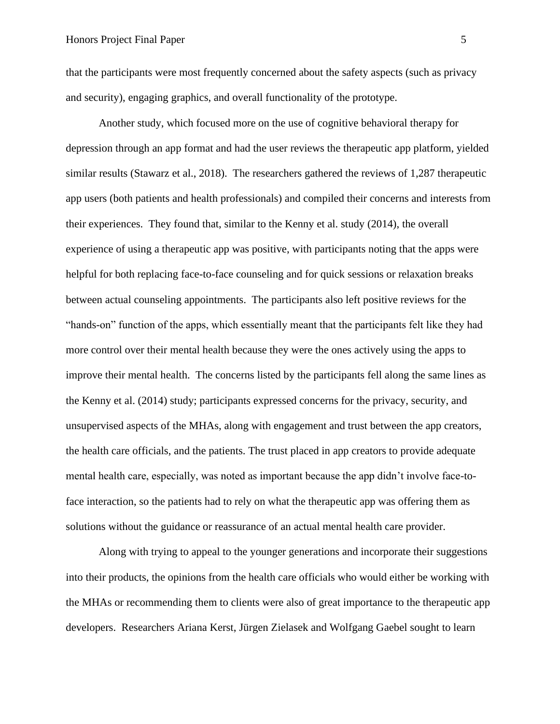that the participants were most frequently concerned about the safety aspects (such as privacy and security), engaging graphics, and overall functionality of the prototype.

Another study, which focused more on the use of cognitive behavioral therapy for depression through an app format and had the user reviews the therapeutic app platform, yielded similar results (Stawarz et al., 2018). The researchers gathered the reviews of 1,287 therapeutic app users (both patients and health professionals) and compiled their concerns and interests from their experiences. They found that, similar to the Kenny et al. study (2014), the overall experience of using a therapeutic app was positive, with participants noting that the apps were helpful for both replacing face-to-face counseling and for quick sessions or relaxation breaks between actual counseling appointments. The participants also left positive reviews for the "hands-on" function of the apps, which essentially meant that the participants felt like they had more control over their mental health because they were the ones actively using the apps to improve their mental health. The concerns listed by the participants fell along the same lines as the Kenny et al. (2014) study; participants expressed concerns for the privacy, security, and unsupervised aspects of the MHAs, along with engagement and trust between the app creators, the health care officials, and the patients. The trust placed in app creators to provide adequate mental health care, especially, was noted as important because the app didn't involve face-toface interaction, so the patients had to rely on what the therapeutic app was offering them as solutions without the guidance or reassurance of an actual mental health care provider.

Along with trying to appeal to the younger generations and incorporate their suggestions into their products, the opinions from the health care officials who would either be working with the MHAs or recommending them to clients were also of great importance to the therapeutic app developers. Researchers Ariana Kerst, [Jürgen Zielasek](https://link.springer.com/article/10.1007/s00406-018-0974-3#auth-J_rgen-Zielasek) and [Wolfgang Gaebel](https://link.springer.com/article/10.1007/s00406-018-0974-3#auth-Wolfgang-Gaebel) sought to learn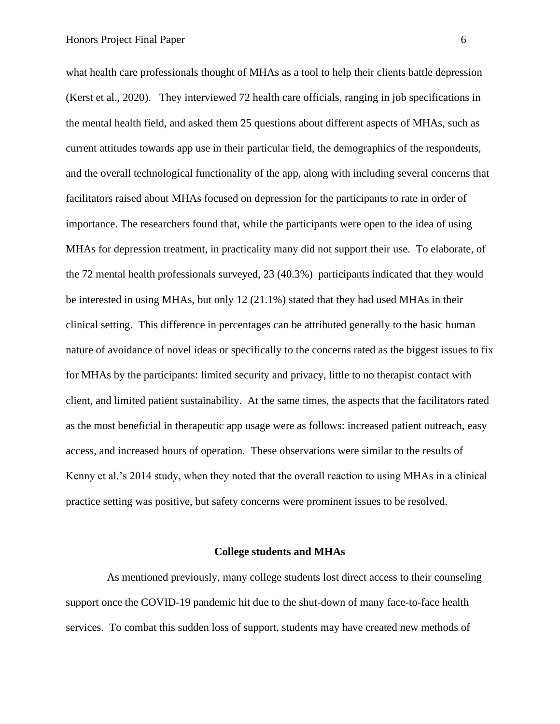what health care professionals thought of MHAs as a tool to help their clients battle depression (Kerst et al., 2020). They interviewed 72 health care officials, ranging in job specifications in the mental health field, and asked them 25 questions about different aspects of MHAs, such as current attitudes towards app use in their particular field, the demographics of the respondents, and the overall technological functionality of the app, along with including several concerns that facilitators raised about MHAs focused on depression for the participants to rate in order of importance. The researchers found that, while the participants were open to the idea of using MHAs for depression treatment, in practicality many did not support their use. To elaborate, of the 72 mental health professionals surveyed, 23 (40.3%) participants indicated that they would be interested in using MHAs, but only 12 (21.1%) stated that they had used MHAs in their clinical setting. This difference in percentages can be attributed generally to the basic human nature of avoidance of novel ideas or specifically to the concerns rated as the biggest issues to fix for MHAs by the participants: limited security and privacy, little to no therapist contact with client, and limited patient sustainability. At the same times, the aspects that the facilitators rated as the most beneficial in therapeutic app usage were as follows: increased patient outreach, easy access, and increased hours of operation. These observations were similar to the results of Kenny et al.'s 2014 study, when they noted that the overall reaction to using MHAs in a clinical practice setting was positive, but safety concerns were prominent issues to be resolved.

#### **College students and MHAs**

 As mentioned previously, many college students lost direct access to their counseling support once the COVID-19 pandemic hit due to the shut-down of many face-to-face health services. To combat this sudden loss of support, students may have created new methods of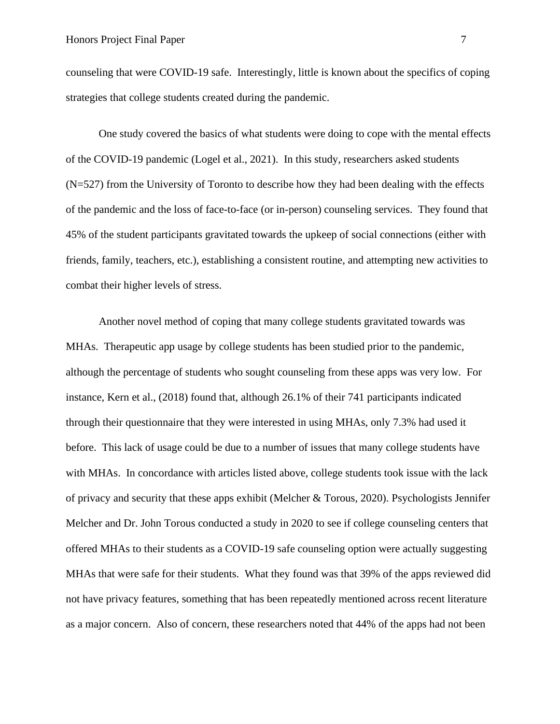counseling that were COVID-19 safe. Interestingly, little is known about the specifics of coping strategies that college students created during the pandemic.

 One study covered the basics of what students were doing to cope with the mental effects of the COVID-19 pandemic (Logel et al., 2021). In this study, researchers asked students (N=527) from the University of Toronto to describe how they had been dealing with the effects of the pandemic and the loss of face-to-face (or in-person) counseling services. They found that 45% of the student participants gravitated towards the upkeep of social connections (either with friends, family, teachers, etc.), establishing a consistent routine, and attempting new activities to combat their higher levels of stress.

Another novel method of coping that many college students gravitated towards was MHAs. Therapeutic app usage by college students has been studied prior to the pandemic, although the percentage of students who sought counseling from these apps was very low. For instance, Kern et al., (2018) found that, although 26.1% of their 741 participants indicated through their questionnaire that they were interested in using MHAs, only 7.3% had used it before. This lack of usage could be due to a number of issues that many college students have with MHAs. In concordance with articles listed above, college students took issue with the lack of privacy and security that these apps exhibit (Melcher & Torous, 2020). Psychologists Jennifer Melcher and Dr. John Torous conducted a study in 2020 to see if college counseling centers that offered MHAs to their students as a COVID-19 safe counseling option were actually suggesting MHAs that were safe for their students. What they found was that 39% of the apps reviewed did not have privacy features, something that has been repeatedly mentioned across recent literature as a major concern. Also of concern, these researchers noted that 44% of the apps had not been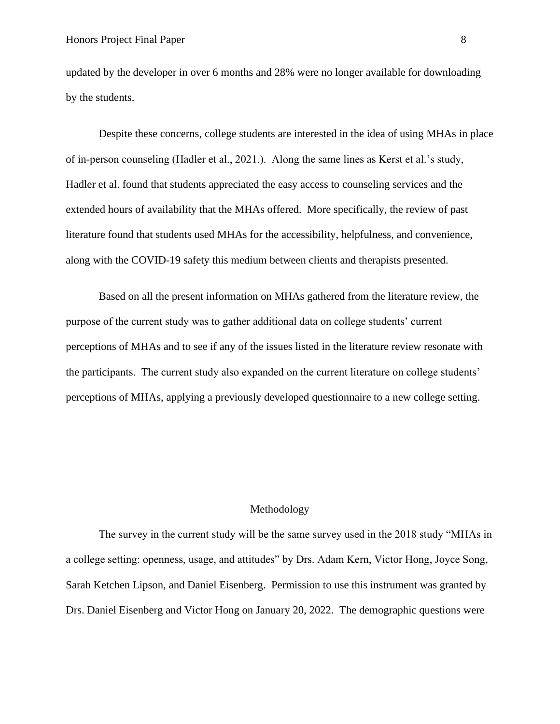updated by the developer in over 6 months and 28% were no longer available for downloading by the students.

Despite these concerns, college students are interested in the idea of using MHAs in place of in-person counseling (Hadler et al., 2021.). Along the same lines as Kerst et al.'s study, Hadler et al. found that students appreciated the easy access to counseling services and the extended hours of availability that the MHAs offered. More specifically, the review of past literature found that students used MHAs for the accessibility, helpfulness, and convenience, along with the COVID-19 safety this medium between clients and therapists presented.

Based on all the present information on MHAs gathered from the literature review, the purpose of the current study was to gather additional data on college students' current perceptions of MHAs and to see if any of the issues listed in the literature review resonate with the participants. The current study also expanded on the current literature on college students' perceptions of MHAs, applying a previously developed questionnaire to a new college setting.

#### Methodology

The survey in the current study will be the same survey used in the 2018 study "MHAs in a college setting: openness, usage, and attitudes" by Drs. Adam Kern, Victor Hong, Joyce Song, Sarah Ketchen Lipson, and Daniel Eisenberg. Permission to use this instrument was granted by Drs. Daniel Eisenberg and Victor Hong on January 20, 2022. The demographic questions were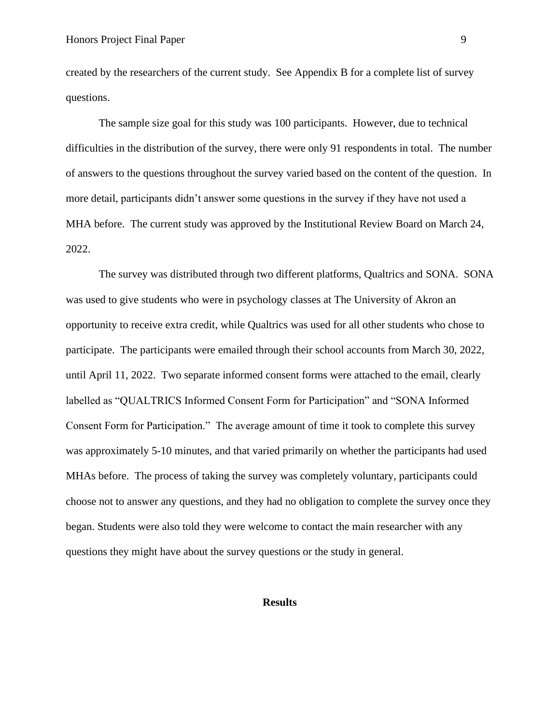created by the researchers of the current study. See Appendix B for a complete list of survey questions.

The sample size goal for this study was 100 participants. However, due to technical difficulties in the distribution of the survey, there were only 91 respondents in total. The number of answers to the questions throughout the survey varied based on the content of the question. In more detail, participants didn't answer some questions in the survey if they have not used a MHA before. The current study was approved by the Institutional Review Board on March 24, 2022.

The survey was distributed through two different platforms, Qualtrics and SONA. SONA was used to give students who were in psychology classes at The University of Akron an opportunity to receive extra credit, while Qualtrics was used for all other students who chose to participate. The participants were emailed through their school accounts from March 30, 2022, until April 11, 2022. Two separate informed consent forms were attached to the email, clearly labelled as "QUALTRICS Informed Consent Form for Participation" and "SONA Informed Consent Form for Participation." The average amount of time it took to complete this survey was approximately 5-10 minutes, and that varied primarily on whether the participants had used MHAs before. The process of taking the survey was completely voluntary, participants could choose not to answer any questions, and they had no obligation to complete the survey once they began. Students were also told they were welcome to contact the main researcher with any questions they might have about the survey questions or the study in general.

#### **Results**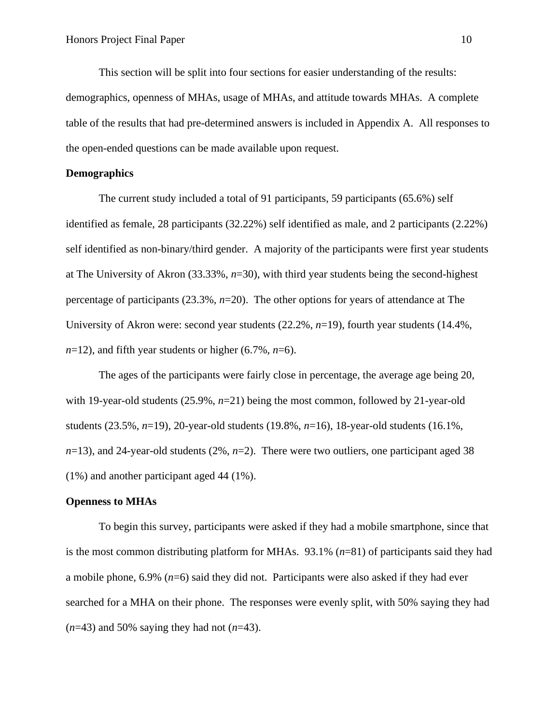This section will be split into four sections for easier understanding of the results: demographics, openness of MHAs, usage of MHAs, and attitude towards MHAs. A complete table of the results that had pre-determined answers is included in Appendix A. All responses to the open-ended questions can be made available upon request.

#### **Demographics**

The current study included a total of 91 participants, 59 participants (65.6%) self identified as female, 28 participants (32.22%) self identified as male, and 2 participants (2.22%) self identified as non-binary/third gender. A majority of the participants were first year students at The University of Akron (33.33%, *n*=30), with third year students being the second-highest percentage of participants (23.3%, *n*=20). The other options for years of attendance at The University of Akron were: second year students (22.2%, *n*=19), fourth year students (14.4%,  $n=12$ , and fifth year students or higher (6.7%,  $n=6$ ).

The ages of the participants were fairly close in percentage, the average age being 20, with 19-year-old students  $(25.9\%, n=21)$  being the most common, followed by 21-year-old students (23.5%, *n*=19), 20-year-old students (19.8%, *n*=16), 18-year-old students (16.1%, *n*=13), and 24-year-old students (2%, *n*=2). There were two outliers, one participant aged 38 (1%) and another participant aged 44 (1%).

#### **Openness to MHAs**

To begin this survey, participants were asked if they had a mobile smartphone, since that is the most common distributing platform for MHAs. 93.1% (*n*=81) of participants said they had a mobile phone, 6.9% (*n*=6) said they did not. Participants were also asked if they had ever searched for a MHA on their phone. The responses were evenly split, with 50% saying they had (*n*=43) and 50% saying they had not (*n*=43).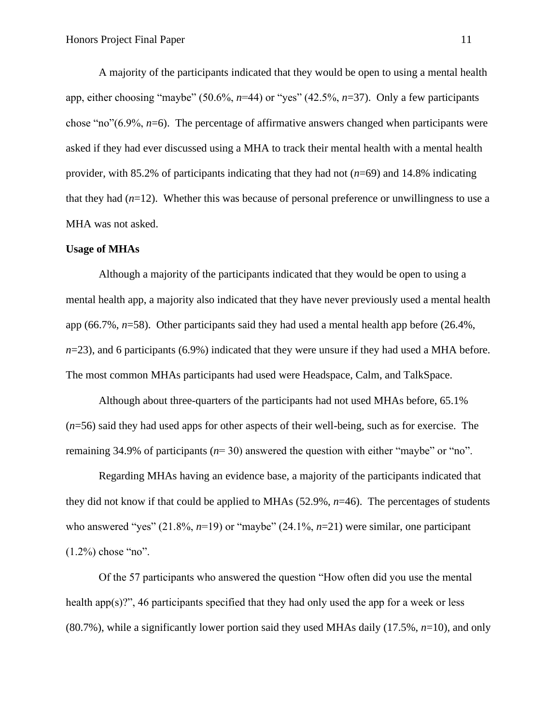A majority of the participants indicated that they would be open to using a mental health app, either choosing "maybe" (50.6%, *n*=44) or "yes" (42.5%, *n*=37). Only a few participants chose "no"(6.9%, *n*=6). The percentage of affirmative answers changed when participants were asked if they had ever discussed using a MHA to track their mental health with a mental health provider, with 85.2% of participants indicating that they had not (*n*=69) and 14.8% indicating that they had  $(n=12)$ . Whether this was because of personal preference or unwillingness to use a MHA was not asked.

#### **Usage of MHAs**

Although a majority of the participants indicated that they would be open to using a mental health app, a majority also indicated that they have never previously used a mental health app (66.7%, *n*=58). Other participants said they had used a mental health app before (26.4%, *n*=23), and 6 participants (6.9%) indicated that they were unsure if they had used a MHA before. The most common MHAs participants had used were Headspace, Calm, and TalkSpace.

Although about three-quarters of the participants had not used MHAs before, 65.1% (*n*=56) said they had used apps for other aspects of their well-being, such as for exercise. The remaining 34.9% of participants (*n*= 30) answered the question with either "maybe" or "no".

Regarding MHAs having an evidence base, a majority of the participants indicated that they did not know if that could be applied to MHAs (52.9%, *n*=46). The percentages of students who answered "yes" (21.8%,  $n=19$ ) or "maybe" (24.1%,  $n=21$ ) were similar, one participant  $(1.2\%)$  chose "no".

Of the 57 participants who answered the question "How often did you use the mental health app $(s)$ ?", 46 participants specified that they had only used the app for a week or less (80.7%), while a significantly lower portion said they used MHAs daily (17.5%, *n*=10), and only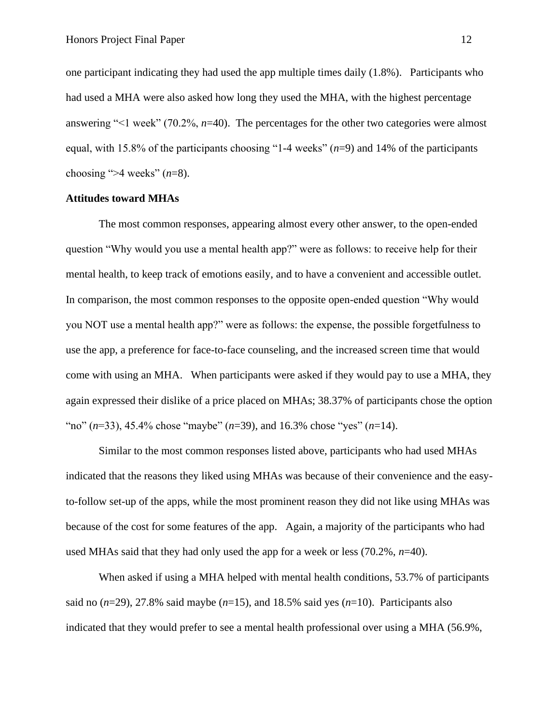one participant indicating they had used the app multiple times daily (1.8%). Participants who had used a MHA were also asked how long they used the MHA, with the highest percentage answering "<1 week" (70.2%, *n*=40). The percentages for the other two categories were almost equal, with 15.8% of the participants choosing "1-4 weeks" (*n*=9) and 14% of the participants choosing " $>4$  weeks" ( $n=8$ ).

#### **Attitudes toward MHAs**

The most common responses, appearing almost every other answer, to the open-ended question "Why would you use a mental health app?" were as follows: to receive help for their mental health, to keep track of emotions easily, and to have a convenient and accessible outlet. In comparison, the most common responses to the opposite open-ended question "Why would you NOT use a mental health app?" were as follows: the expense, the possible forgetfulness to use the app, a preference for face-to-face counseling, and the increased screen time that would come with using an MHA. When participants were asked if they would pay to use a MHA, they again expressed their dislike of a price placed on MHAs; 38.37% of participants chose the option "no" (*n*=33), 45.4% chose "maybe" (*n*=39), and 16.3% chose "yes" (*n*=14).

Similar to the most common responses listed above, participants who had used MHAs indicated that the reasons they liked using MHAs was because of their convenience and the easyto-follow set-up of the apps, while the most prominent reason they did not like using MHAs was because of the cost for some features of the app. Again, a majority of the participants who had used MHAs said that they had only used the app for a week or less (70.2%, *n*=40).

When asked if using a MHA helped with mental health conditions, 53.7% of participants said no  $(n=29)$ , 27.8% said maybe  $(n=15)$ , and 18.5% said yes  $(n=10)$ . Participants also indicated that they would prefer to see a mental health professional over using a MHA (56.9%,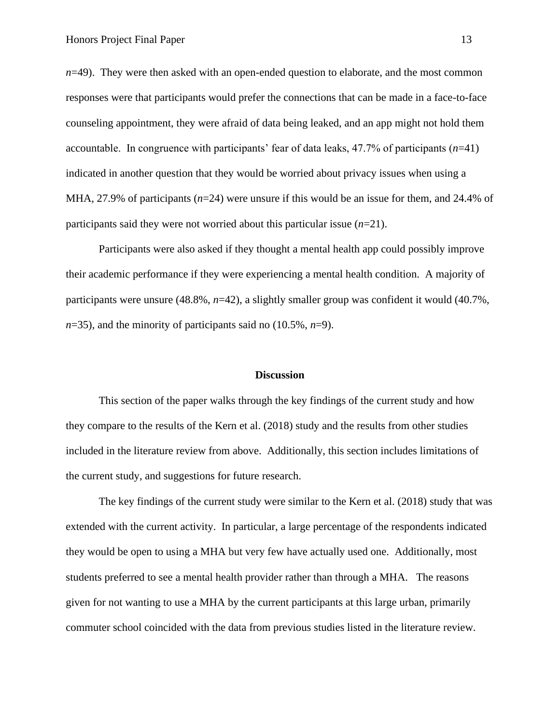*n*=49). They were then asked with an open-ended question to elaborate, and the most common responses were that participants would prefer the connections that can be made in a face-to-face counseling appointment, they were afraid of data being leaked, and an app might not hold them accountable. In congruence with participants' fear of data leaks, 47.7% of participants (*n*=41) indicated in another question that they would be worried about privacy issues when using a MHA, 27.9% of participants (*n*=24) were unsure if this would be an issue for them, and 24.4% of participants said they were not worried about this particular issue (*n*=21).

Participants were also asked if they thought a mental health app could possibly improve their academic performance if they were experiencing a mental health condition. A majority of participants were unsure (48.8%, *n*=42), a slightly smaller group was confident it would (40.7%, *n*=35), and the minority of participants said no (10.5%, *n*=9).

#### **Discussion**

This section of the paper walks through the key findings of the current study and how they compare to the results of the Kern et al. (2018) study and the results from other studies included in the literature review from above. Additionally, this section includes limitations of the current study, and suggestions for future research.

The key findings of the current study were similar to the Kern et al. (2018) study that was extended with the current activity. In particular, a large percentage of the respondents indicated they would be open to using a MHA but very few have actually used one. Additionally, most students preferred to see a mental health provider rather than through a MHA. The reasons given for not wanting to use a MHA by the current participants at this large urban, primarily commuter school coincided with the data from previous studies listed in the literature review.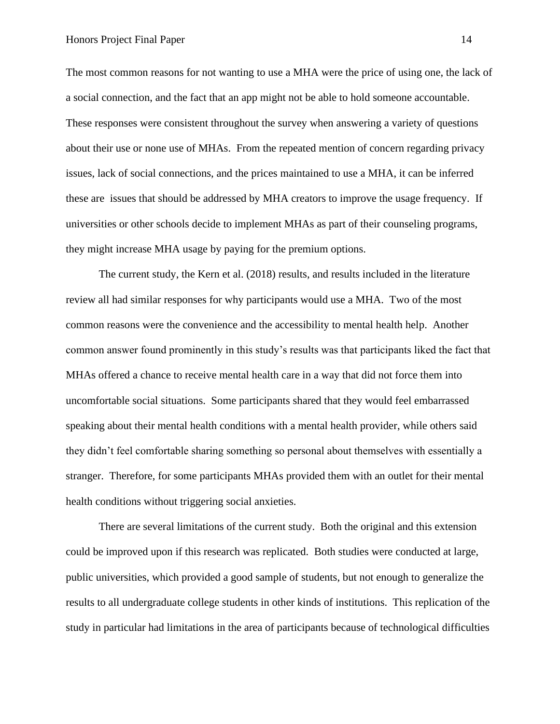The most common reasons for not wanting to use a MHA were the price of using one, the lack of a social connection, and the fact that an app might not be able to hold someone accountable. These responses were consistent throughout the survey when answering a variety of questions about their use or none use of MHAs. From the repeated mention of concern regarding privacy issues, lack of social connections, and the prices maintained to use a MHA, it can be inferred these are issues that should be addressed by MHA creators to improve the usage frequency. If universities or other schools decide to implement MHAs as part of their counseling programs, they might increase MHA usage by paying for the premium options.

The current study, the Kern et al. (2018) results, and results included in the literature review all had similar responses for why participants would use a MHA. Two of the most common reasons were the convenience and the accessibility to mental health help. Another common answer found prominently in this study's results was that participants liked the fact that MHAs offered a chance to receive mental health care in a way that did not force them into uncomfortable social situations. Some participants shared that they would feel embarrassed speaking about their mental health conditions with a mental health provider, while others said they didn't feel comfortable sharing something so personal about themselves with essentially a stranger. Therefore, for some participants MHAs provided them with an outlet for their mental health conditions without triggering social anxieties.

There are several limitations of the current study. Both the original and this extension could be improved upon if this research was replicated. Both studies were conducted at large, public universities, which provided a good sample of students, but not enough to generalize the results to all undergraduate college students in other kinds of institutions. This replication of the study in particular had limitations in the area of participants because of technological difficulties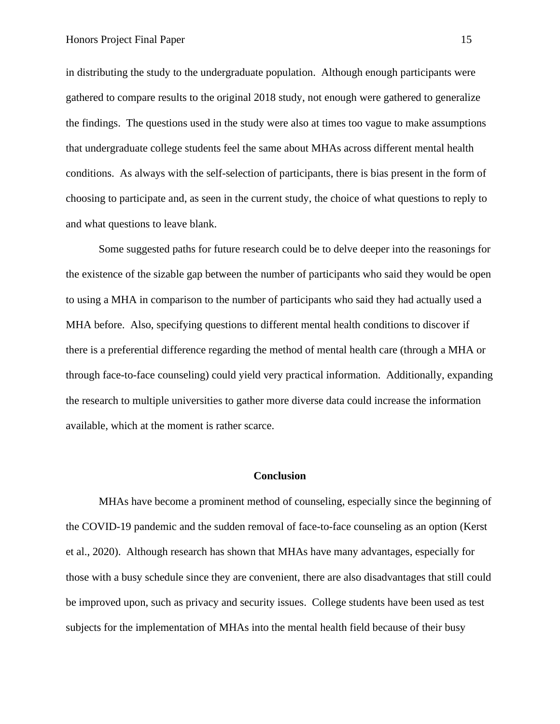in distributing the study to the undergraduate population. Although enough participants were gathered to compare results to the original 2018 study, not enough were gathered to generalize the findings. The questions used in the study were also at times too vague to make assumptions that undergraduate college students feel the same about MHAs across different mental health conditions. As always with the self-selection of participants, there is bias present in the form of choosing to participate and, as seen in the current study, the choice of what questions to reply to and what questions to leave blank.

Some suggested paths for future research could be to delve deeper into the reasonings for the existence of the sizable gap between the number of participants who said they would be open to using a MHA in comparison to the number of participants who said they had actually used a MHA before. Also, specifying questions to different mental health conditions to discover if there is a preferential difference regarding the method of mental health care (through a MHA or through face-to-face counseling) could yield very practical information. Additionally, expanding the research to multiple universities to gather more diverse data could increase the information available, which at the moment is rather scarce.

#### **Conclusion**

MHAs have become a prominent method of counseling, especially since the beginning of the COVID-19 pandemic and the sudden removal of face-to-face counseling as an option (Kerst et al., 2020). Although research has shown that MHAs have many advantages, especially for those with a busy schedule since they are convenient, there are also disadvantages that still could be improved upon, such as privacy and security issues. College students have been used as test subjects for the implementation of MHAs into the mental health field because of their busy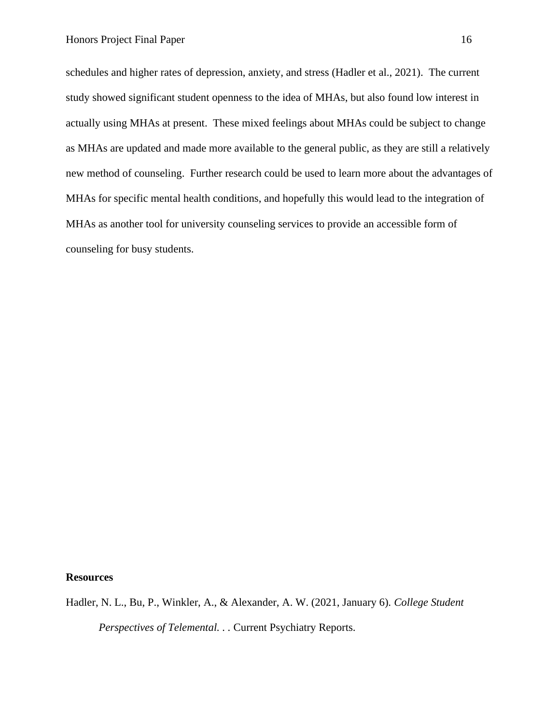schedules and higher rates of depression, anxiety, and stress (Hadler et al., 2021). The current study showed significant student openness to the idea of MHAs, but also found low interest in actually using MHAs at present. These mixed feelings about MHAs could be subject to change as MHAs are updated and made more available to the general public, as they are still a relatively new method of counseling. Further research could be used to learn more about the advantages of MHAs for specific mental health conditions, and hopefully this would lead to the integration of MHAs as another tool for university counseling services to provide an accessible form of counseling for busy students.

#### **Resources**

Hadler, N. L., Bu, P., Winkler, A., & Alexander, A. W. (2021, January 6). *College Student Perspectives of Telemental. . .* Current Psychiatry Reports[.](https://link.springer.com/article/10.1007/s11920-020-01215-7?error=cookies_not_supported&code=c4ff987d-9835-4742-9e54-67fd333c384b)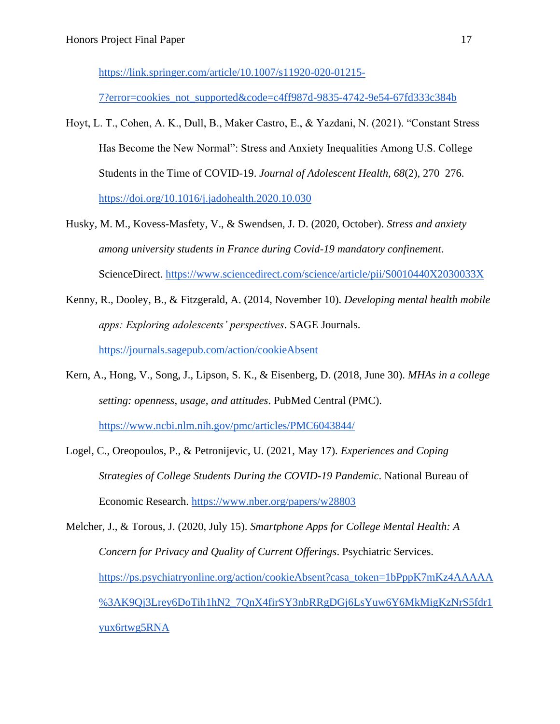[https://link.springer.com/article/10.1007/s11920-020-01215-](https://link.springer.com/article/10.1007/s11920-020-01215-7?error=cookies_not_supported&code=c4ff987d-9835-4742-9e54-67fd333c384b)

[7?error=cookies\\_not\\_supported&code=c4ff987d-9835-4742-9e54-67fd333c384b](https://link.springer.com/article/10.1007/s11920-020-01215-7?error=cookies_not_supported&code=c4ff987d-9835-4742-9e54-67fd333c384b)

- Hoyt, L. T., Cohen, A. K., Dull, B., Maker Castro, E., & Yazdani, N. (2021). "Constant Stress Has Become the New Normal": Stress and Anxiety Inequalities Among U.S. College Students in the Time of COVID-19. *Journal of Adolescent Health*, *68*(2), 270–276. <https://doi.org/10.1016/j.jadohealth.2020.10.030>
- Husky, M. M., Kovess-Masfety, V., & Swendsen, J. D. (2020, October). *Stress and anxiety among university students in France during Covid-19 mandatory confinement*. ScienceDirect.<https://www.sciencedirect.com/science/article/pii/S0010440X2030033X>
- Kenny, R., Dooley, B., & Fitzgerald, A. (2014, November 10). *Developing mental health mobile apps: Exploring adolescents' perspectives*. SAGE Journals. <https://journals.sagepub.com/action/cookieAbsent>
- Kern, A., Hong, V., Song, J., Lipson, S. K., & Eisenberg, D. (2018, June 30). *MHAs in a college setting: openness, usage, and attitudes*. PubMed Central (PMC). <https://www.ncbi.nlm.nih.gov/pmc/articles/PMC6043844/>
- Logel, C., Oreopoulos, P., & Petronijevic, U. (2021, May 17). *Experiences and Coping Strategies of College Students During the COVID-19 Pandemic*. National Bureau of Economic Research.<https://www.nber.org/papers/w28803>

Melcher, J., & Torous, J. (2020, July 15). *Smartphone Apps for College Mental Health: A Concern for Privacy and Quality of Current Offerings*. Psychiatric Services. [https://ps.psychiatryonline.org/action/cookieAbsent?casa\\_token=1bPppK7mKz4AAAAA](https://ps.psychiatryonline.org/action/cookieAbsent?casa_token=1bPppK7mKz4AAAAA%3AK9Qj3Lrey6DoTih1hN2_7QnX4firSY3nbRRgDGj6LsYuw6Y6MkMigKzNrS5fdr1yux6rtwg5RNA) [%3AK9Qj3Lrey6DoTih1hN2\\_7QnX4firSY3nbRRgDGj6LsYuw6Y6MkMigKzNrS5fdr1](https://ps.psychiatryonline.org/action/cookieAbsent?casa_token=1bPppK7mKz4AAAAA%3AK9Qj3Lrey6DoTih1hN2_7QnX4firSY3nbRRgDGj6LsYuw6Y6MkMigKzNrS5fdr1yux6rtwg5RNA) [yux6rtwg5RNA](https://ps.psychiatryonline.org/action/cookieAbsent?casa_token=1bPppK7mKz4AAAAA%3AK9Qj3Lrey6DoTih1hN2_7QnX4firSY3nbRRgDGj6LsYuw6Y6MkMigKzNrS5fdr1yux6rtwg5RNA)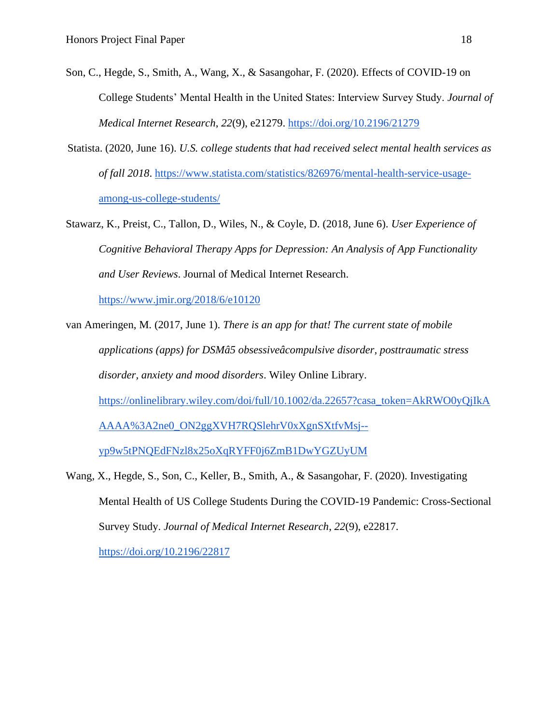- Son, C., Hegde, S., Smith, A., Wang, X., & Sasangohar, F. (2020). Effects of COVID-19 on College Students' Mental Health in the United States: Interview Survey Study. *Journal of Medical Internet Research*, *22*(9), e21279.<https://doi.org/10.2196/21279>
- Statista. (2020, June 16). *U.S. college students that had received select mental health services as of fall 2018*. [https://www.statista.com/statistics/826976/mental-health-service-usage](https://www.statista.com/statistics/826976/mental-health-service-usage-among-us-college-students/)[among-us-college-students/](https://www.statista.com/statistics/826976/mental-health-service-usage-among-us-college-students/)
- Stawarz, K., Preist, C., Tallon, D., Wiles, N., & Coyle, D. (2018, June 6). *User Experience of Cognitive Behavioral Therapy Apps for Depression: An Analysis of App Functionality and User Reviews*. Journal of Medical Internet Research.

<https://www.jmir.org/2018/6/e10120>

- van Ameringen, M. (2017, June 1). *There is an app for that! The current state of mobile applications (apps) for DSMâ5 obsessiveâcompulsive disorder, posttraumatic stress disorder, anxiety and mood disorders*. Wiley Online Library. [https://onlinelibrary.wiley.com/doi/full/10.1002/da.22657?casa\\_token=AkRWO0yQjIkA](https://onlinelibrary.wiley.com/doi/full/10.1002/da.22657?casa_token=AkRWO0yQjIkAAAAA%3A2ne0_ON2ggXVH7RQSlehrV0xXgnSXtfvMsj--yp9w5tPNQEdFNzl8x25oXqRYFF0j6ZmB1DwYGZUyUM) [AAAA%3A2ne0\\_ON2ggXVH7RQSlehrV0xXgnSXtfvMsj-](https://onlinelibrary.wiley.com/doi/full/10.1002/da.22657?casa_token=AkRWO0yQjIkAAAAA%3A2ne0_ON2ggXVH7RQSlehrV0xXgnSXtfvMsj--yp9w5tPNQEdFNzl8x25oXqRYFF0j6ZmB1DwYGZUyUM) [yp9w5tPNQEdFNzl8x25oXqRYFF0j6ZmB1DwYGZUyUM](https://onlinelibrary.wiley.com/doi/full/10.1002/da.22657?casa_token=AkRWO0yQjIkAAAAA%3A2ne0_ON2ggXVH7RQSlehrV0xXgnSXtfvMsj--yp9w5tPNQEdFNzl8x25oXqRYFF0j6ZmB1DwYGZUyUM)
- Wang, X., Hegde, S., Son, C., Keller, B., Smith, A., & Sasangohar, F. (2020). Investigating Mental Health of US College Students During the COVID-19 Pandemic: Cross-Sectional Survey Study. *Journal of Medical Internet Research*, *22*(9), e22817. <https://doi.org/10.2196/22817>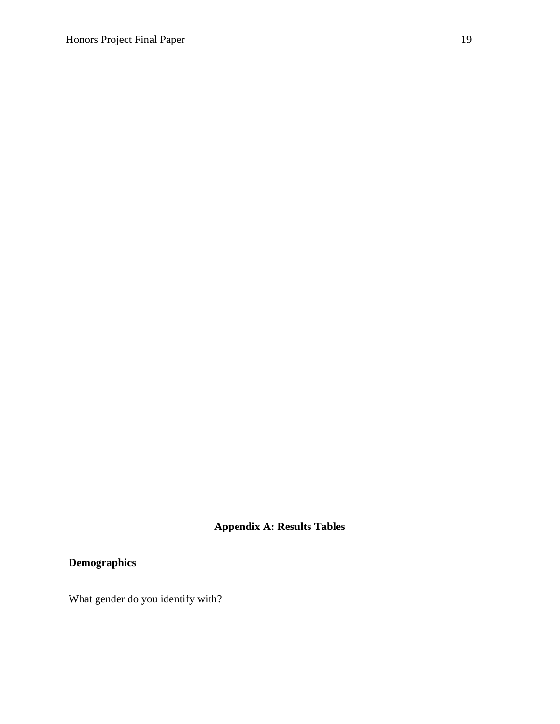## **Appendix A: Results Tables**

## **Demographics**

What gender do you identify with?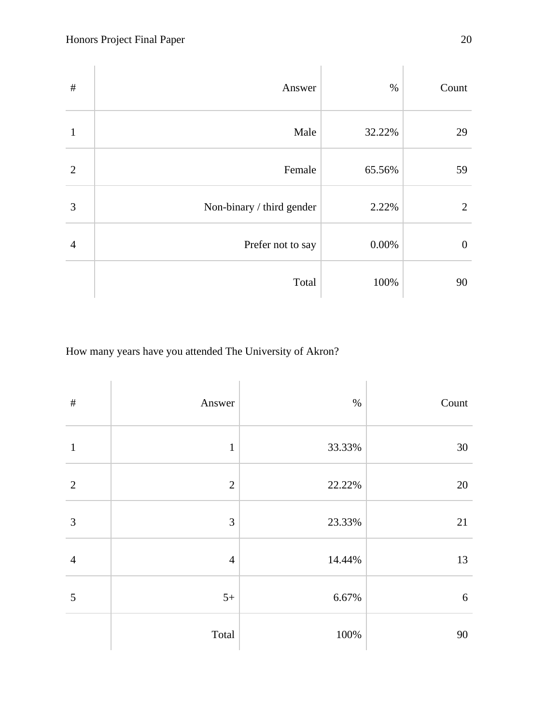| $\#$           | Answer                    | $\%$   | Count            |
|----------------|---------------------------|--------|------------------|
| $\mathbf{1}$   | Male                      | 32.22% | 29               |
| $\overline{2}$ | Female                    | 65.56% | 59               |
| 3              | Non-binary / third gender | 2.22%  | 2                |
| $\overline{4}$ | Prefer not to say         | 0.00%  | $\boldsymbol{0}$ |
|                | Total                     | 100%   | 90               |

How many years have you attended The University of Akron?

| $\#$           | Answer         | $\%$   | Count  |
|----------------|----------------|--------|--------|
| $\mathbf{1}$   | $\,1\,$        | 33.33% | 30     |
| $\overline{2}$ | $\overline{2}$ | 22.22% | $20\,$ |
| $\mathfrak{Z}$ | 3              | 23.33% | 21     |
| $\overline{4}$ | $\overline{4}$ | 14.44% | 13     |
| $\mathfrak{S}$ | $5+$           | 6.67%  | $6\,$  |
|                | Total          | 100%   | 90     |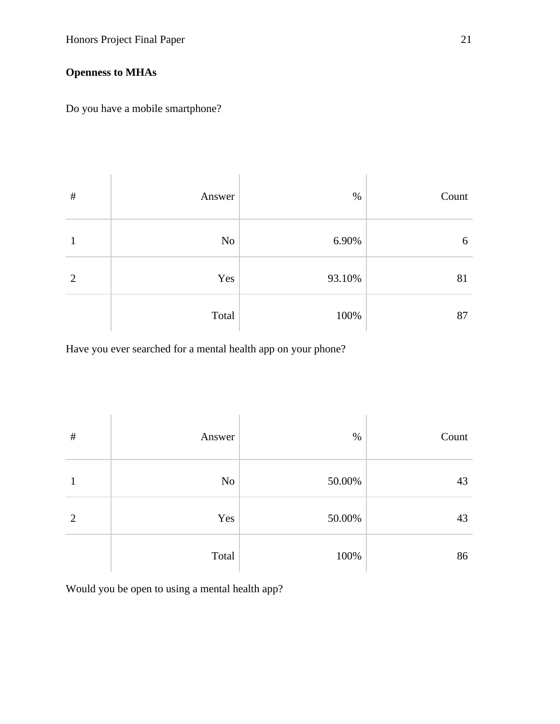### **Openness to MHAs**

Do you have a mobile smartphone?

| $\#$           | Answer | $\%$   | Count |
|----------------|--------|--------|-------|
|                | No     | 6.90%  | 6     |
| $\overline{2}$ | Yes    | 93.10% | 81    |
|                | Total  | 100%   | 87    |

Have you ever searched for a mental health app on your phone?

| $\#$ | Answer | $\%$   | Count |
|------|--------|--------|-------|
|      | No     | 50.00% | 43    |
| 2    | Yes    | 50.00% | 43    |
|      | Total  | 100%   | 86    |

Would you be open to using a mental health app?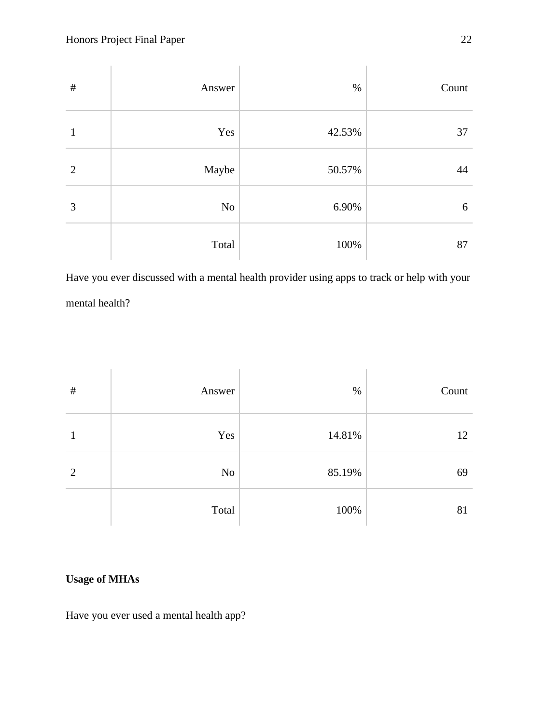| $\#$ | Answer | $\%$   | Count |
|------|--------|--------|-------|
| 1    | Yes    | 42.53% | 37    |
| 2    | Maybe  | 50.57% | 44    |
| 3    | No     | 6.90%  | 6     |
|      | Total  | 100%   | 87    |

Have you ever discussed with a mental health provider using apps to track or help with your mental health?

| $\#$ | Answer | $\%$   | Count |
|------|--------|--------|-------|
| 1    | Yes    | 14.81% | 12    |
| 2    | No     | 85.19% | 69    |
|      | Total  | 100%   | 81    |

### **Usage of MHAs**

Have you ever used a mental health app?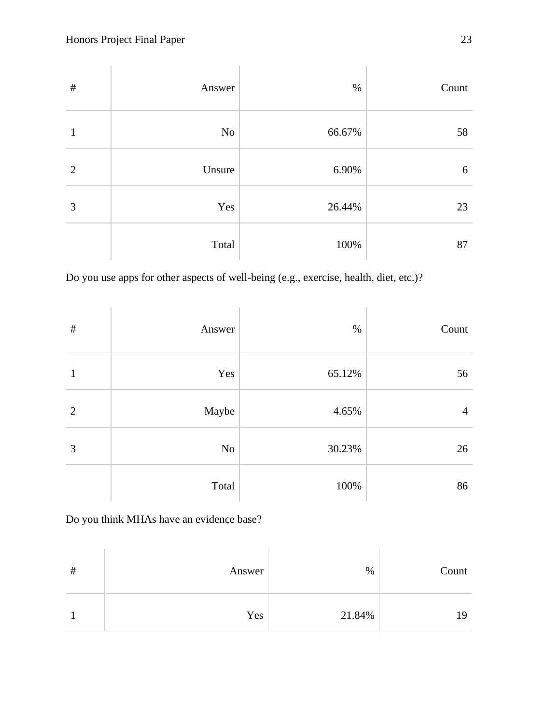| $\#$           | Answer | $\%$   | Count |
|----------------|--------|--------|-------|
| 1              | No     | 66.67% | 58    |
| $\overline{2}$ | Unsure | 6.90%  | 6     |
| 3              | Yes    | 26.44% | 23    |
|                | Total  | 100%   | 87    |

Do you use apps for other aspects of well-being (e.g., exercise, health, diet, etc.)?

| $\#$           | Answer | $\%$   | Count          |
|----------------|--------|--------|----------------|
| 1              | Yes    | 65.12% | 56             |
| $\overline{2}$ | Maybe  | 4.65%  | $\overline{4}$ |
| 3              | No     | 30.23% | 26             |
|                | Total  | 100%   | 86             |

Do you think MHAs have an evidence base?

| # | Answer | $\%$   | Count |
|---|--------|--------|-------|
|   | Yes    | 21.84% | 19    |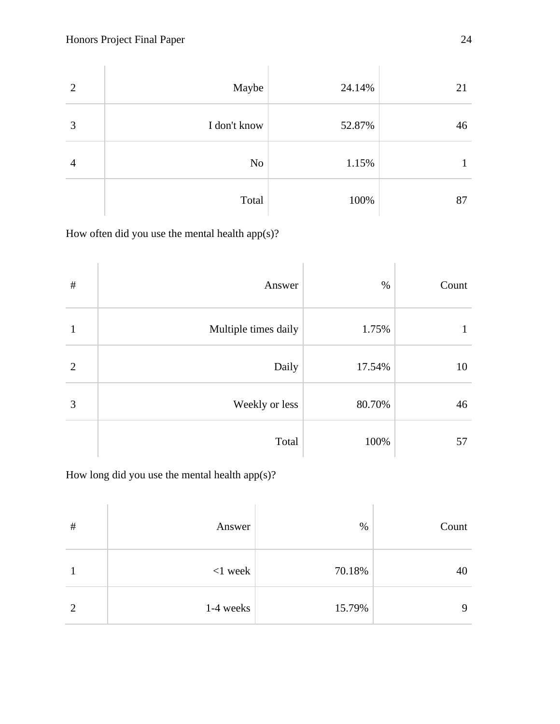| $\overline{2}$ | Maybe        | 24.14% | 21 |
|----------------|--------------|--------|----|
| 3              | I don't know | 52.87% | 46 |
| $\overline{4}$ | No           | 1.15%  | 1  |
|                | Total        | 100%   | 87 |

How often did you use the mental health app(s)?

| $\#$           | Answer               | $\%$   | Count |
|----------------|----------------------|--------|-------|
| 1              | Multiple times daily | 1.75%  | 1     |
| $\overline{2}$ | Daily                | 17.54% | 10    |
| 3              | Weekly or less       | 80.70% | 46    |
|                | Total                | 100%   | 57    |

How long did you use the mental health app(s)?

| $\#$ | Answer     | $\%$   | Count       |
|------|------------|--------|-------------|
|      | $<$ 1 week | 70.18% | 40          |
|      | 1-4 weeks  | 15.79% | $\mathbf Q$ |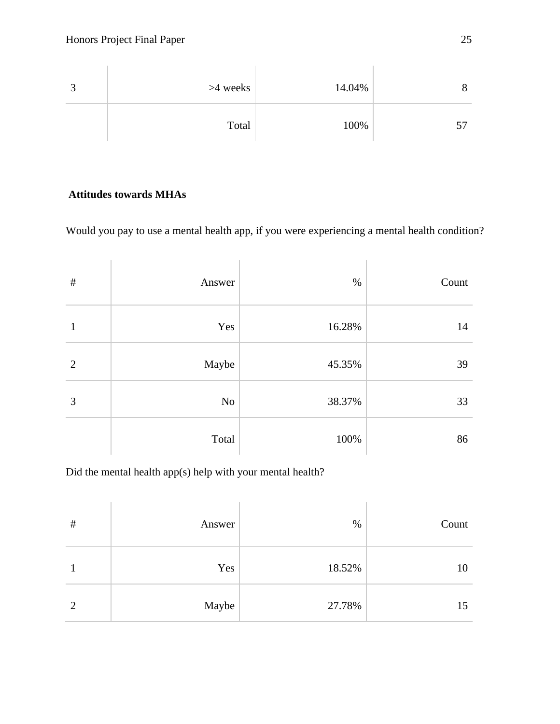

### **Attitudes towards MHAs**

Would you pay to use a mental health app, if you were experiencing a mental health condition?

| $\#$           | Answer | $\%$   | Count |
|----------------|--------|--------|-------|
| 1              | Yes    | 16.28% | 14    |
| $\overline{2}$ | Maybe  | 45.35% | 39    |
| 3              | No     | 38.37% | 33    |
|                | Total  | 100%   | 86    |

Did the mental health app(s) help with your mental health?

| $\#$ | Answer | $\%$   | Count |
|------|--------|--------|-------|
|      | Yes    | 18.52% | 10    |
| 2    | Maybe  | 27.78% | 15    |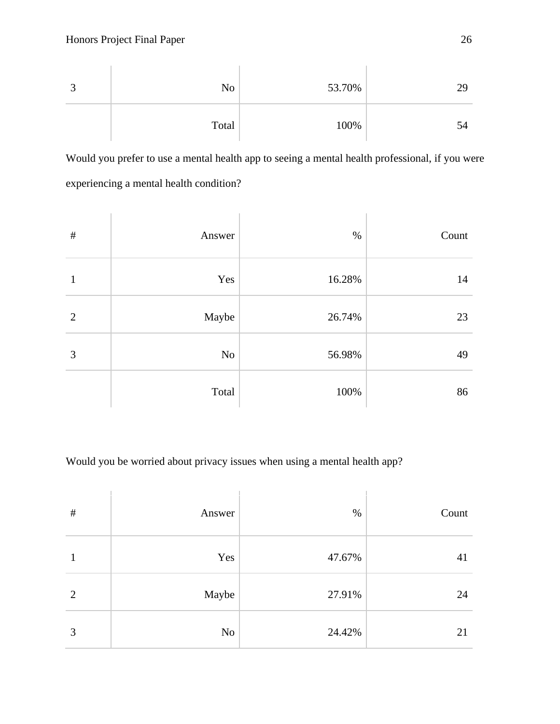| No    | 53.70% | 29 |
|-------|--------|----|
| Total | 100%   | 54 |

Would you prefer to use a mental health app to seeing a mental health professional, if you were experiencing a mental health condition?

| $\#$           | Answer   | $\%$   | Count |
|----------------|----------|--------|-------|
| 1              | Yes      | 16.28% | 14    |
| $\overline{2}$ | Maybe    | 26.74% | 23    |
| 3              | $\rm No$ | 56.98% | 49    |
|                | Total    | 100%   | 86    |

Would you be worried about privacy issues when using a mental health app?

| $\#$           | Answer | $\%$   | Count |
|----------------|--------|--------|-------|
|                | Yes    | 47.67% | 41    |
| $\overline{2}$ | Maybe  | 27.91% | 24    |
| 3              | No     | 24.42% | 21    |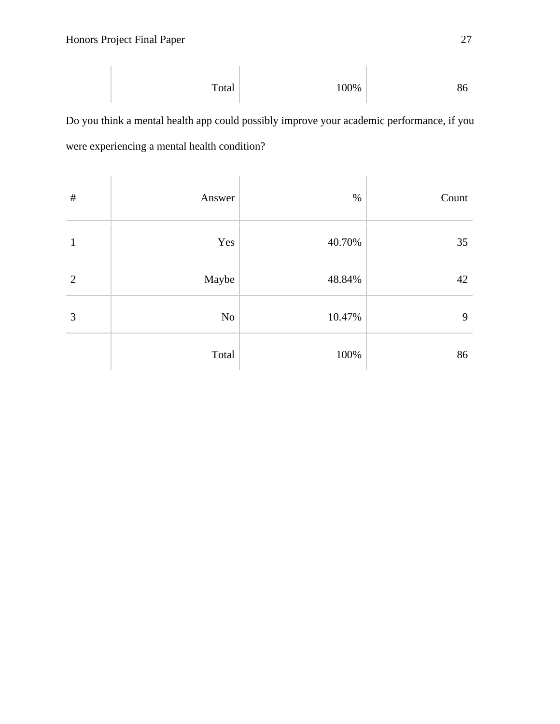$$
Total \t\t 100\% \t\t 86
$$

Do you think a mental health app could possibly improve your academic performance, if you were experiencing a mental health condition?

| $\#$           | Answer | $\%$   | Count |
|----------------|--------|--------|-------|
| 1              | Yes    | 40.70% | 35    |
| $\overline{2}$ | Maybe  | 48.84% | 42    |
| 3              | No     | 10.47% | 9     |
|                | Total  | 100%   | 86    |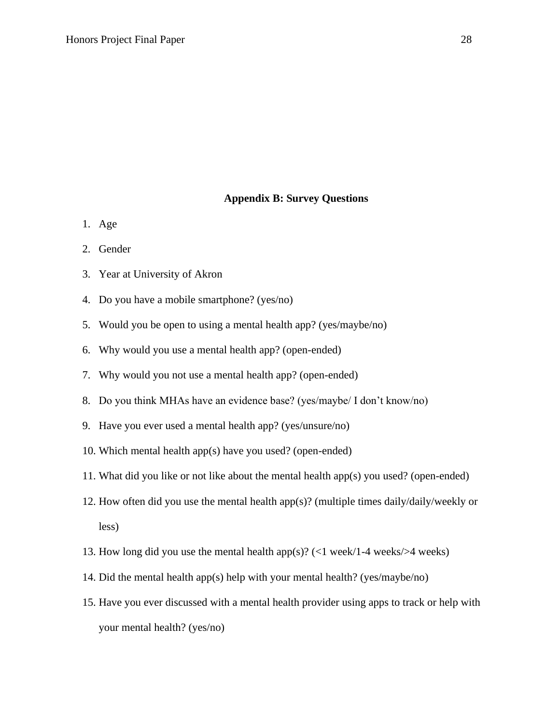#### **Appendix B: Survey Questions**

- 1. Age
- 2. Gender
- 3. Year at University of Akron
- 4. Do you have a mobile smartphone? (yes/no)
- 5. Would you be open to using a mental health app? (yes/maybe/no)
- 6. Why would you use a mental health app? (open-ended)
- 7. Why would you not use a mental health app? (open-ended)
- 8. Do you think MHAs have an evidence base? (yes/maybe/ I don't know/no)
- 9. Have you ever used a mental health app? (yes/unsure/no)
- 10. Which mental health app(s) have you used? (open-ended)
- 11. What did you like or not like about the mental health app(s) you used? (open-ended)
- 12. How often did you use the mental health app(s)? (multiple times daily/daily/weekly or less)
- 13. How long did you use the mental health app(s)? (<1 week/1-4 weeks/>4 weeks)
- 14. Did the mental health app(s) help with your mental health? (yes/maybe/no)
- 15. Have you ever discussed with a mental health provider using apps to track or help with your mental health? (yes/no)